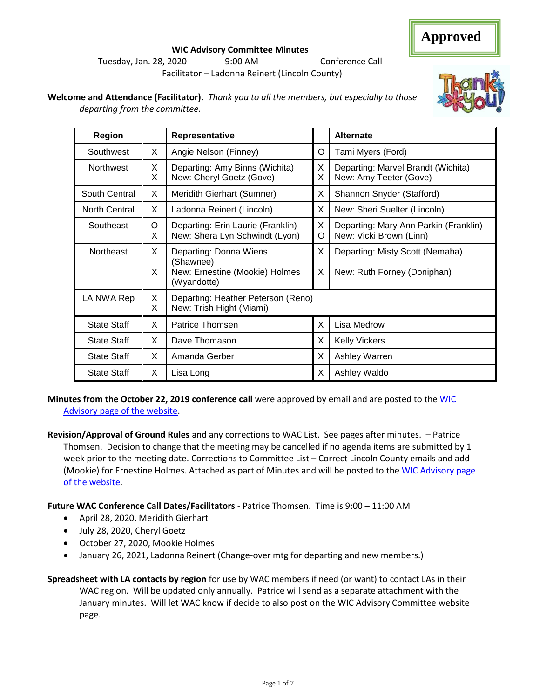#### **WIC Advisory Committee Minutes** Tuesday, Jan. 28, 2020 9:00 AM Conference Call Facilitator – Ladonna Reinert (Lincoln County)

**Welcome and Attendance (Facilitator).** *Thank you to all the members, but especially to those departing from the committee.* 

| Region               |        | Representative                                                                       |        | <b>Alternate</b>                                                 |
|----------------------|--------|--------------------------------------------------------------------------------------|--------|------------------------------------------------------------------|
| Southwest            | X      | Angie Nelson (Finney)                                                                | O      | Tami Myers (Ford)                                                |
| Northwest            | X<br>X | Departing: Amy Binns (Wichita)<br>New: Cheryl Goetz (Gove)                           | X<br>X | Departing: Marvel Brandt (Wichita)<br>New: Amy Teeter (Gove)     |
| South Central        | X      | Meridith Gierhart (Sumner)                                                           | X      | Shannon Snyder (Stafford)                                        |
| <b>North Central</b> | X      | Ladonna Reinert (Lincoln)                                                            | X      | New: Sheri Suelter (Lincoln)                                     |
| Southeast            | O<br>X | Departing: Erin Laurie (Franklin)<br>New: Shera Lyn Schwindt (Lyon)                  | X<br>O | Departing: Mary Ann Parkin (Franklin)<br>New: Vicki Brown (Linn) |
| Northeast            | X<br>X | Departing: Donna Wiens<br>(Shawnee)<br>New: Ernestine (Mookie) Holmes<br>(Wyandotte) | X<br>X | Departing: Misty Scott (Nemaha)<br>New: Ruth Forney (Doniphan)   |
| LA NWA Rep           | X<br>X | Departing: Heather Peterson (Reno)<br>New: Trish Hight (Miami)                       |        |                                                                  |
| <b>State Staff</b>   | X      | Patrice Thomsen                                                                      | X      | Lisa Medrow                                                      |
| <b>State Staff</b>   | X      | Dave Thomason                                                                        | X      | <b>Kelly Vickers</b>                                             |
| <b>State Staff</b>   | X      | Amanda Gerber                                                                        | X      | Ashley Warren                                                    |
| <b>State Staff</b>   | X      | Lisa Long                                                                            | X      | Ashley Waldo                                                     |

**Minutes from the October 22, 2019 conference call** were approved by email and are posted to th[e WIC](http://www.kansaswic.org/local_agencies/WIC_advisory_comm.html)  [Advisory page of the website.](http://www.kansaswic.org/local_agencies/WIC_advisory_comm.html)

**Revision/Approval of Ground Rules** and any corrections to WAC List. See pages after minutes. – Patrice Thomsen. Decision to change that the meeting may be cancelled if no agenda items are submitted by 1 week prior to the meeting date. Corrections to Committee List – Correct Lincoln County emails and add (Mookie) for Ernestine Holmes. Attached as part of Minutes and will be posted to th[e WIC Advisory page](http://www.kansaswic.org/local_agencies/WIC_advisory_comm.html)  [of the website.](http://www.kansaswic.org/local_agencies/WIC_advisory_comm.html)

**Future WAC Conference Call Dates/Facilitators** - Patrice Thomsen. Time is 9:00 – 11:00 AM

- April 28, 2020, Meridith Gierhart
- July 28, 2020, Cheryl Goetz
- October 27, 2020, Mookie Holmes
- January 26, 2021, Ladonna Reinert (Change-over mtg for departing and new members.)

**Spreadsheet with LA contacts by region** for use by WAC members if need (or want) to contact LAs in their WAC region. Will be updated only annually. Patrice will send as a separate attachment with the January minutes. Will let WAC know if decide to also post on the WIC Advisory Committee website page.



## **Approved**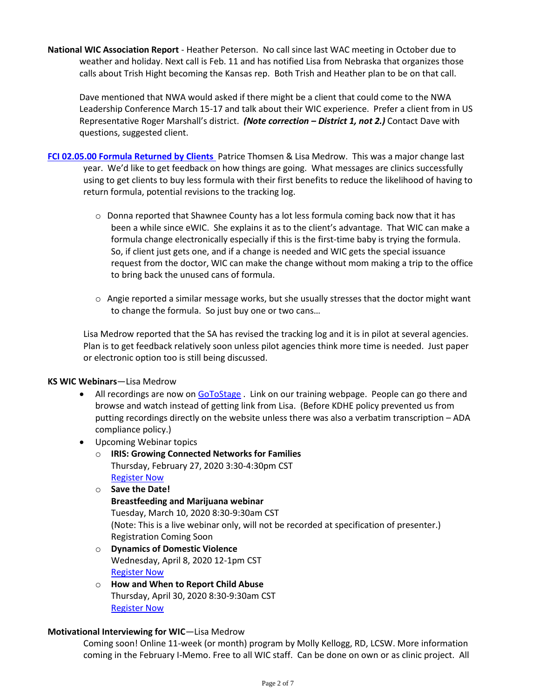**National WIC Association Report** - Heather Peterson. No call since last WAC meeting in October due to weather and holiday. Next call is Feb. 11 and has notified Lisa from Nebraska that organizes those calls about Trish Hight becoming the Kansas rep. Both Trish and Heather plan to be on that call.

Dave mentioned that NWA would asked if there might be a client that could come to the NWA Leadership Conference March 15-17 and talk about their WIC experience. Prefer a client from in US Representative Roger Marshall's district. *(Note correction – District 1, not 2.)* Contact Dave with questions, suggested client.

- **[FCI 02.05.00 Formula Returned by Clients](http://www.kansaswic.org/manual/FCI_02_05_00_Documentation_and_Use_of_Returned_Formula.pdf)** Patrice Thomsen & Lisa Medrow. This was a major change last year. We'd like to get feedback on how things are going. What messages are clinics successfully using to get clients to buy less formula with their first benefits to reduce the likelihood of having to return formula, potential revisions to the tracking log.
	- $\circ$  Donna reported that Shawnee County has a lot less formula coming back now that it has been a while since eWIC. She explains it as to the client's advantage. That WIC can make a formula change electronically especially if this is the first-time baby is trying the formula. So, if client just gets one, and if a change is needed and WIC gets the special issuance request from the doctor, WIC can make the change without mom making a trip to the office to bring back the unused cans of formula.
	- $\circ$  Angie reported a similar message works, but she usually stresses that the doctor might want to change the formula. So just buy one or two cans…

Lisa Medrow reported that the SA has revised the tracking log and it is in pilot at several agencies. Plan is to get feedback relatively soon unless pilot agencies think more time is needed. Just paper or electronic option too is still being discussed.

#### **KS WIC Webinars**—Lisa Medrow

- All recordings are now o[n GoToStage](https://gcc01.safelinks.protection.outlook.com/?url=https%3A%2F%2Fwww.gotostage.com%2Fchannel%2Fc0b1a1026a014205b3c0441d39b11e4a&data=02%7C01%7CPatrice.Thomsen%40ks.gov%7C59073cdd0db240c381db08d79a06e6cd%7Cdcae8101c92d480cbc43c6761ccccc5a%7C0%7C0%7C637147226748326201&sdata=hF3mNOMNW9iRF%2Bs62%2FOtBAYM3E6dxxeOPFibh1CzTsY%3D&reserved=0) . Link on our training webpage. People can go there and browse and watch instead of getting link from Lisa. (Before KDHE policy prevented us from putting recordings directly on the website unless there was also a verbatim transcription – ADA compliance policy.)
- Upcoming Webinar topics
	- o **IRIS: Growing Connected Networks for Families** Thursday, February 27, 2020 3:30-4:30pm CST [Register Now](https://gcc01.safelinks.protection.outlook.com/?url=https%3A%2F%2Fattendee.gotowebinar.com%2Fregister%2F6787781561968507659&data=02%7C01%7CPatrice.Thomsen%40ks.gov%7C59073cdd0db240c381db08d79a06e6cd%7Cdcae8101c92d480cbc43c6761ccccc5a%7C0%7C0%7C637147226748326201&sdata=gwAVHQ0cDppgdZ1wHmoLyppYvg8OGw8JbIbpCKuGn6g%3D&reserved=0)
	- o **Save the Date! Breastfeeding and Marijuana webinar** Tuesday, March 10, 2020 8:30-9:30am CST (Note: This is a live webinar only, will not be recorded at specification of presenter.) Registration Coming Soon
	- o **Dynamics of Domestic Violence** Wednesday, April 8, 2020 12-1pm CST [Register Now](https://gcc01.safelinks.protection.outlook.com/?url=https%3A%2F%2Fattendee.gotowebinar.com%2Fregister%2F2335898563661481484&data=02%7C01%7CPatrice.Thomsen%40ks.gov%7C59073cdd0db240c381db08d79a06e6cd%7Cdcae8101c92d480cbc43c6761ccccc5a%7C0%7C0%7C637147226748336199&sdata=9VlXiZvARCipK40wqbl6xcVBcFMwYOEFRxkdqOrscAY%3D&reserved=0)
	- o **How and When to Report Child Abuse** Thursday, April 30, 2020 8:30-9:30am CST [Register Now](https://gcc01.safelinks.protection.outlook.com/?url=https%3A%2F%2Fattendee.gotowebinar.com%2Fregister%2F4918544724693258763&data=02%7C01%7CPatrice.Thomsen%40ks.gov%7C59073cdd0db240c381db08d79a06e6cd%7Cdcae8101c92d480cbc43c6761ccccc5a%7C0%7C0%7C637147226748336199&sdata=qNrheTiMDrUtWuCKrlVWtr47ow3iggY0ahKOk1Gk9jk%3D&reserved=0)

#### **Motivational Interviewing for WIC**—Lisa Medrow

Coming soon! Online 11-week (or month) program by Molly Kellogg, RD, LCSW. More information coming in the February I-Memo. Free to all WIC staff. Can be done on own or as clinic project. All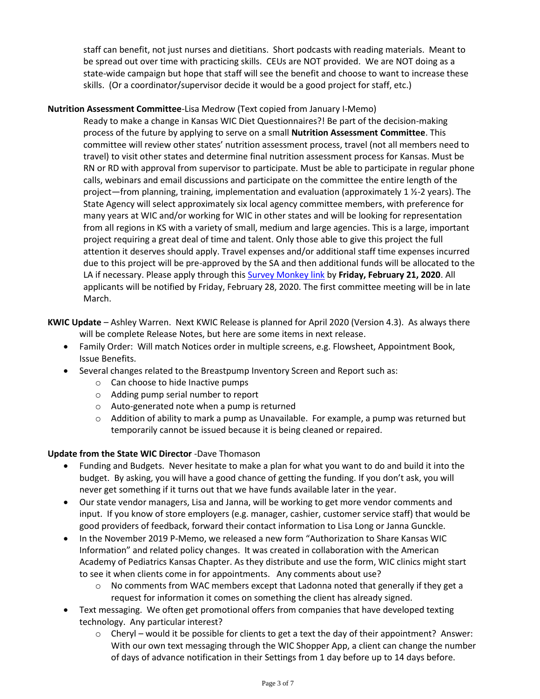staff can benefit, not just nurses and dietitians. Short podcasts with reading materials. Meant to be spread out over time with practicing skills. CEUs are NOT provided. We are NOT doing as a state-wide campaign but hope that staff will see the benefit and choose to want to increase these skills. (Or a coordinator/supervisor decide it would be a good project for staff, etc.)

#### **Nutrition Assessment Committee**-Lisa Medrow (Text copied from January I-Memo)

Ready to make a change in Kansas WIC Diet Questionnaires?! Be part of the decision-making process of the future by applying to serve on a small **Nutrition Assessment Committee**. This committee will review other states' nutrition assessment process, travel (not all members need to travel) to visit other states and determine final nutrition assessment process for Kansas. Must be RN or RD with approval from supervisor to participate. Must be able to participate in regular phone calls, webinars and email discussions and participate on the committee the entire length of the project—from planning, training, implementation and evaluation (approximately 1 ½-2 years). The State Agency will select approximately six local agency committee members, with preference for many years at WIC and/or working for WIC in other states and will be looking for representation from all regions in KS with a variety of small, medium and large agencies. This is a large, important project requiring a great deal of time and talent. Only those able to give this project the full attention it deserves should apply. Travel expenses and/or additional staff time expenses incurred due to this project will be pre-approved by the SA and then additional funds will be allocated to the LA if necessary. Please apply through this [Survey Monkey link](https://gcc01.safelinks.protection.outlook.com/?url=https%3A%2F%2Fwww.surveymonkey.com%2Fr%2FNutrAssess&data=02%7C01%7CPatrice.Thomsen%40ks.gov%7C59073cdd0db240c381db08d79a06e6cd%7Cdcae8101c92d480cbc43c6761ccccc5a%7C0%7C0%7C637147226748346190&sdata=VxMAdKhi6hnb%2FuUqFtd0xQGs23YSOtGIdZTubRUjxRE%3D&reserved=0) by **Friday, February 21, 2020**. All applicants will be notified by Friday, February 28, 2020. The first committee meeting will be in late March.

**KWIC Update** – Ashley Warren. Next KWIC Release is planned for April 2020 (Version 4.3). As always there will be complete Release Notes, but here are some items in next release.

- Family Order: Will match Notices order in multiple screens, e.g. Flowsheet, Appointment Book, Issue Benefits.
- Several changes related to the Breastpump Inventory Screen and Report such as:
	- o Can choose to hide Inactive pumps
	- o Adding pump serial number to report
	- o Auto-generated note when a pump is returned
	- $\circ$  Addition of ability to mark a pump as Unavailable. For example, a pump was returned but temporarily cannot be issued because it is being cleaned or repaired.

#### **Update from the State WIC Director** -Dave Thomason

- Funding and Budgets. Never hesitate to make a plan for what you want to do and build it into the budget. By asking, you will have a good chance of getting the funding. If you don't ask, you will never get something if it turns out that we have funds available later in the year.
- Our state vendor managers, Lisa and Janna, will be working to get more vendor comments and input. If you know of store employers (e.g. manager, cashier, customer service staff) that would be good providers of feedback, forward their contact information to Lisa Long or Janna Gunckle.
- In the November 2019 P-Memo, we released a new form "Authorization to Share Kansas WIC Information" and related policy changes. It was created in collaboration with the American Academy of Pediatrics Kansas Chapter. As they distribute and use the form, WIC clinics might start to see it when clients come in for appointments. Any comments about use?
	- No comments from WAC members except that Ladonna noted that generally if they get a request for information it comes on something the client has already signed.
- Text messaging. We often get promotional offers from companies that have developed texting technology. Any particular interest?
	- $\circ$  Cheryl would it be possible for clients to get a text the day of their appointment? Answer: With our own text messaging through the WIC Shopper App, a client can change the number of days of advance notification in their Settings from 1 day before up to 14 days before.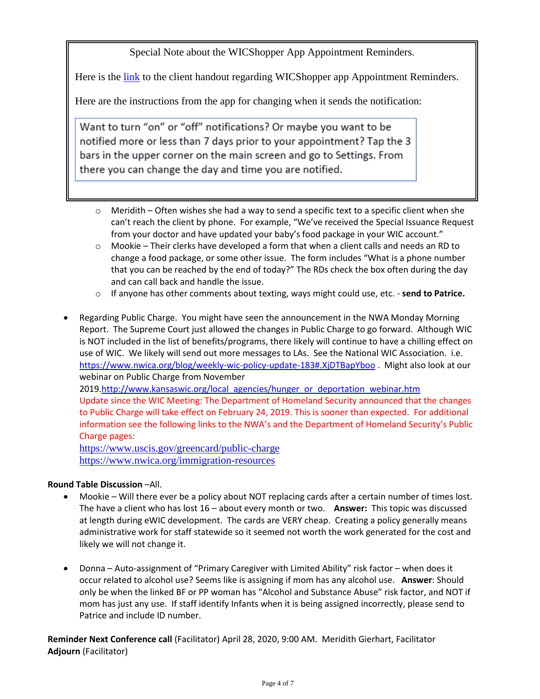Special Note about the WICShopper App Appointment Reminders.

Here is the [link](https://gcc01.safelinks.protection.outlook.com/?url=http%3A%2F%2Fwww.kansaswic.org%2FeWIC%2FAppointment_Reminders_Half_Sheet_Eng_Span.pdf&data=02%7C01%7CPatrice.Thomsen%40ks.gov%7Cc29db0849d744e0f20bc08d7a419fbf6%7Cdcae8101c92d480cbc43c6761ccccc5a%7C0%7C0%7C637158303821796347&sdata=R0aca3ANyw%2Btqnwk2vP%2FAkPf5%2Fry2J23OrqKjf9%2FqDw%3D&reserved=0) to the client handout regarding WICShopper app Appointment Reminders.

Here are the instructions from the app for changing when it sends the notification:

Want to turn "on" or "off" notifications? Or maybe you want to be notified more or less than 7 days prior to your appointment? Tap the 3 bars in the upper corner on the main screen and go to Settings. From there you can change the day and time you are notified.

- $\circ$  Meridith Often wishes she had a way to send a specific text to a specific client when she can't reach the client by phone. For example, "We've received the Special Issuance Request from your doctor and have updated your baby's food package in your WIC account."
- $\circ$  Mookie Their clerks have developed a form that when a client calls and needs an RD to change a food package, or some other issue. The form includes "What is a phone number that you can be reached by the end of today?" The RDs check the box often during the day and can call back and handle the issue.
- o If anyone has other comments about texting, ways might could use, etc. **send to Patrice.**
- Regarding Public Charge. You might have seen the announcement in the NWA Monday Morning Report. The Supreme Court just allowed the changes in Public Charge to go forward. Although WIC is NOT included in the list of benefits/programs, there likely will continue to have a chilling effect on use of WIC. We likely will send out more messages to LAs. See the National WIC Association. i.e. <https://www.nwica.org/blog/weekly-wic-policy-update-183#.XjDTBapYboo> . Might also look at our webinar on Public Charge from November

2019[.http://www.kansaswic.org/local\\_agencies/hunger\\_or\\_deportation\\_webinar.htm](http://www.kansaswic.org/local_agencies/hunger_or_deportation_webinar.htm) Update since the WIC Meeting: The Department of Homeland Security announced that the changes to Public Charge will take effect on February 24, 2019. This is sooner than expected. For additional information see the following links to the NWA's and the Department of Homeland Security's Public Charge pages:

<https://www.uscis.gov/greencard/public-charge> <https://www.nwica.org/immigration-resources>

#### **Round Table Discussion** –All.

- Mookie Will there ever be a policy about NOT replacing cards after a certain number of times lost. The have a client who has lost 16 – about every month or two. **Answer:** This topic was discussed at length during eWIC development. The cards are VERY cheap. Creating a policy generally means administrative work for staff statewide so it seemed not worth the work generated for the cost and likely we will not change it.
- Donna Auto-assignment of "Primary Caregiver with Limited Ability" risk factor when does it occur related to alcohol use? Seems like is assigning if mom has any alcohol use. **Answer**: Should only be when the linked BF or PP woman has "Alcohol and Substance Abuse" risk factor, and NOT if mom has just any use. If staff identify Infants when it is being assigned incorrectly, please send to Patrice and include ID number.

**Reminder Next Conference call** (Facilitator) April 28, 2020, 9:00 AM. Meridith Gierhart, Facilitator **Adjourn** (Facilitator)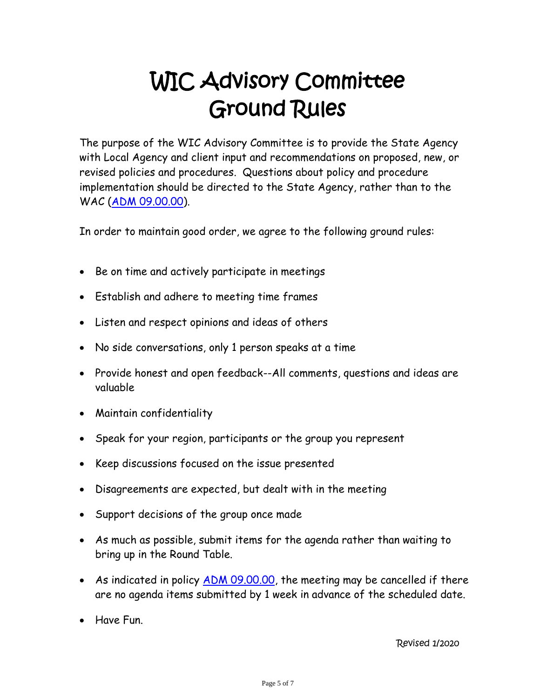# WIC Advisory Committee Ground Rules

The purpose of the WIC Advisory Committee is to provide the State Agency with Local Agency and client input and recommendations on proposed, new, or revised policies and procedures. Questions about policy and procedure implementation should be directed to the State Agency, rather than to the WAC [\(ADM 09.00.00\)](http://www.kansaswic.org/manual/ADM_09_00_00_WIC_Advisory_Committee.pdf).

In order to maintain good order, we agree to the following ground rules:

- Be on time and actively participate in meetings
- Establish and adhere to meeting time frames
- Listen and respect opinions and ideas of others
- No side conversations, only 1 person speaks at a time
- Provide honest and open feedback--All comments, questions and ideas are valuable
- Maintain confidentiality
- Speak for your region, participants or the group you represent
- Keep discussions focused on the issue presented
- Disagreements are expected, but dealt with in the meeting
- Support decisions of the group once made
- As much as possible, submit items for the agenda rather than waiting to bring up in the Round Table.
- As indicated in policy <u>ADM 09.00.00</u>, the meeting may be cancelled if there are no agenda items submitted by 1 week in advance of the scheduled date.
- Have Fun.

Revised 1/2020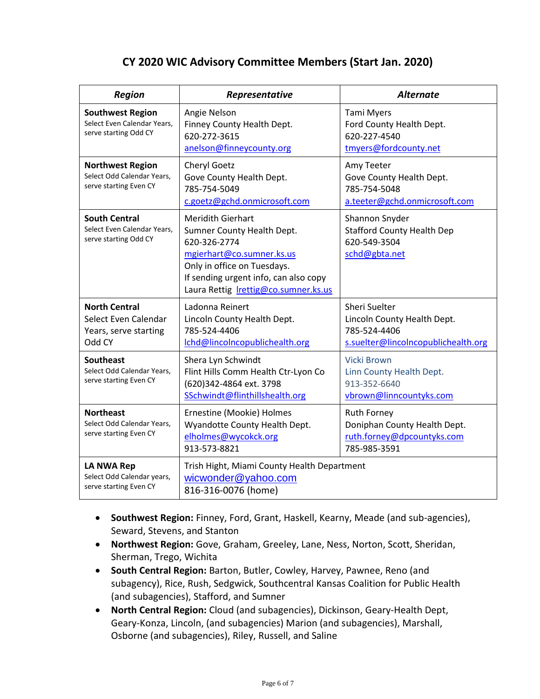### **CY 2020 WIC Advisory Committee Members (Start Jan. 2020)**

| <b>Region</b>                                                                   | Representative                                                                                                                                                                                                      | <b>Alternate</b>                                                                                    |  |
|---------------------------------------------------------------------------------|---------------------------------------------------------------------------------------------------------------------------------------------------------------------------------------------------------------------|-----------------------------------------------------------------------------------------------------|--|
| <b>Southwest Region</b><br>Select Even Calendar Years,<br>serve starting Odd CY | Angie Nelson<br>Finney County Health Dept.<br>620-272-3615<br>anelson@finneycounty.org                                                                                                                              | Tami Myers<br>Ford County Health Dept.<br>620-227-4540<br>tmyers@fordcounty.net                     |  |
| <b>Northwest Region</b><br>Select Odd Calendar Years,<br>serve starting Even CY | <b>Cheryl Goetz</b><br>Gove County Health Dept.<br>785-754-5049<br>c.goetz@gchd.onmicrosoft.com                                                                                                                     | Amy Teeter<br>Gove County Health Dept.<br>785-754-5048<br>a.teeter@gchd.onmicrosoft.com             |  |
| <b>South Central</b><br>Select Even Calendar Years,<br>serve starting Odd CY    | <b>Meridith Gierhart</b><br>Sumner County Health Dept.<br>620-326-2774<br>mgierhart@co.sumner.ks.us<br>Only in office on Tuesdays.<br>If sending urgent info, can also copy<br>Laura Rettig Irettig@co.sumner.ks.us | Shannon Snyder<br><b>Stafford County Health Dep</b><br>620-549-3504<br>schd@gbta.net                |  |
| <b>North Central</b><br>Select Even Calendar<br>Years, serve starting<br>Odd CY | Ladonna Reinert<br>Lincoln County Health Dept.<br>785-524-4406<br>Ichd@lincolncopublichealth.org                                                                                                                    | Sheri Suelter<br>Lincoln County Health Dept.<br>785-524-4406<br>s.suelter@lincolncopublichealth.org |  |
| <b>Southeast</b><br>Select Odd Calendar Years,<br>serve starting Even CY        | Shera Lyn Schwindt<br>Flint Hills Comm Health Ctr-Lyon Co<br>(620)342-4864 ext. 3798<br>SSchwindt@flinthillshealth.org                                                                                              | <b>Vicki Brown</b><br>Linn County Health Dept.<br>913-352-6640<br>vbrown@linncountyks.com           |  |
| <b>Northeast</b><br>Select Odd Calendar Years,<br>serve starting Even CY        | Ernestine (Mookie) Holmes<br>Wyandotte County Health Dept.<br>elholmes@wycokck.org<br>913-573-8821                                                                                                                  | <b>Ruth Forney</b><br>Doniphan County Health Dept.<br>ruth.forney@dpcountyks.com<br>785-985-3591    |  |
| <b>LA NWA Rep</b><br>Select Odd Calendar years,<br>serve starting Even CY       | Trish Hight, Miami County Health Department<br>wicwonder@yahoo.com<br>816-316-0076 (home)                                                                                                                           |                                                                                                     |  |

- **Southwest Region:** Finney, Ford, Grant, Haskell, Kearny, Meade (and sub-agencies), Seward, Stevens, and Stanton
- **Northwest Region:** Gove, Graham, Greeley, Lane, Ness, Norton, Scott, Sheridan, Sherman, Trego, Wichita
- **South Central Region:** Barton, Butler, Cowley, Harvey, Pawnee, Reno (and subagency), Rice, Rush, Sedgwick, Southcentral Kansas Coalition for Public Health (and subagencies), Stafford, and Sumner
- **North Central Region:** Cloud (and subagencies), Dickinson, Geary-Health Dept, Geary-Konza, Lincoln, (and subagencies) Marion (and subagencies), Marshall, Osborne (and subagencies), Riley, Russell, and Saline